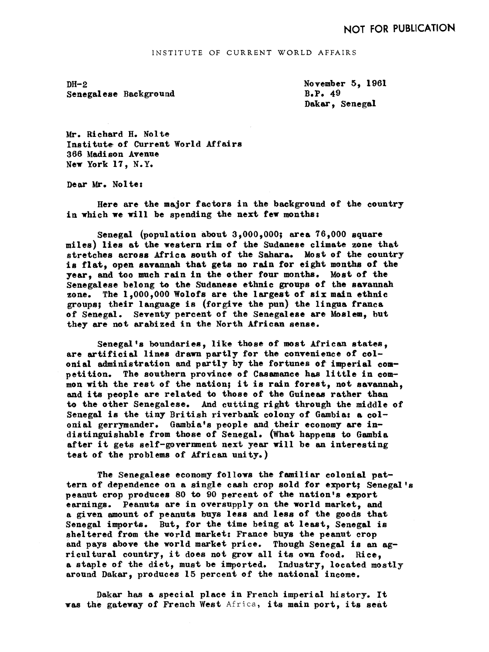INSTITUTE OF CURRENT WORLD AFFAIRS

 $DH-2$ Senegal ese Background November 5, 1961 B.P. 49 Dakar, Senegal

Mr. Richard H. Nolte Institute of Current World Affairs 366 Madi son Avenue New York 17, N.Y.

Dear Mr. Nolte:

Here are the major factors in the background of the country in which we will be spending the next few months:

Senegal (population about  $3,000,000$ ; area  $76,000$  square miles) lies at the western rim of the Sudanese climate zone that stretches across Africa south of the Sahara. Most of the country is flat, open savannah that gets no rain for eight months of the year, and too much rain in the other four months. Most of the Senegalese belong to the Sudanese ethnic groups of the savannah zone. The 1,000,000 Wolofs are the largest of six main ethnic groups; their language is (forgive the pun) the lingua franca of Senegal. Seventy percent of the Senegalese are Moslem, but they are not arabized in the North African sense.

Senegal's boundaries, like those of most African states, are artificial lines drawn partly for the convenience of colonial administration and partly by the fortunes of imperial competition. The southern province of Casamance has little in common with the rest of the nation; it is rain forest, not savannah, and its people are related to those of the Guineas rather than to the other Senegalese. And cutting right through the middle of Senegal is the tiny British riverbank colony of Gambia: a colonial gerrymander. Gambiats people and their economy are indistinguishable from those of Senegal. (What happens to Gambia after it gets self-government next year will be an interesting test of the problems of African unity.)

The Senegalese economy follows the familiar colonial pattern of dependence on a single cash crop sold for export; Senegal's peanut crop produces 80 to 90 percent of the nation's export earnings. Peanuts are in oversupply on the world market, and a given amount of peanuts buys less and less of the goods that Senegal imports. But, for the time being at least, Senegal is sheltered from the world market: France buys the peanut crop and pays above the world market price. Though Senegal is an agricultural country, it does not grow all its own food. Rice, a staple of the diet, must be imported. Industry, located mostly around Dakar, produces 15 percent of the national income.

Dakar has a special place in French imperial history. It was the gateway of French West Africa, its main port, its seat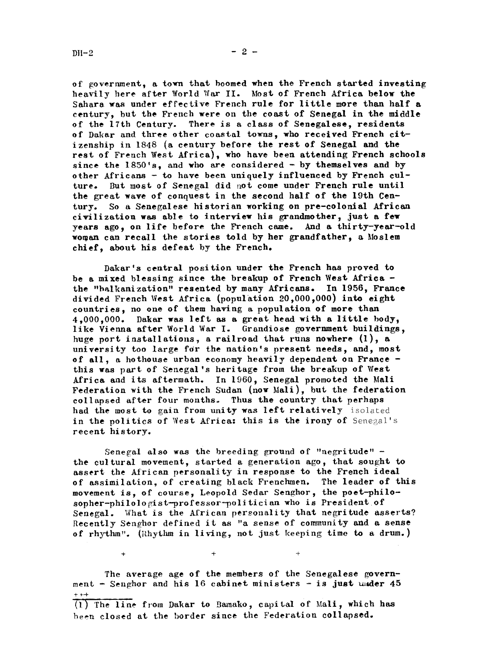of government, a town that boomed when the French started investing heavily here after World War II. Most of French Africa below the Sahara was under effective French rule for little more than half a century but the French were on the coast of Senegal in the middle of the 17th Century. There is a class of Senegalese. residents of Dakar and three other coastal towns who received French citizenship in 1848 (a century before the rest of Senegal and the rest of French West Africa), who have been attending French schools since the  $1850'$ s, and who are considered - by themselves and by other Africans  $-$  to have been uniquely influenced by French culture. But most of Senegal did not come under French rule until the great wave of conquest in the second half of the 19th Century. So a Senegalese historian working on pre-colonial African civilization was able to interview his grandmother, just a few years ago, on life before the French came. And a thirty-year-old woman can recall the stories told by her grandfather, a Moslem chief about his defeat by the French.

Dakar's central position under the French has proved to be a mixed blessing since the breakup of French West Africathe "balkanization" resented by many Africans. In 1956, France divided French West Africa (population  $20,000,000$ ) into eight countries no one of them having a population of more than  $4,000,000$ . Dakar was left as a great head with a little body, like Vienna after World War I. Grandiose government buildings, huge port installations, a railroad that runs nowhere  $(1)$ , a university too large for the nation's present needs, and, most of all, a hothouse urban economy heavily dependent on France  $$ this was part of Senegal's heritage from the breakup of West Africa and its aftermath. In 1960, Senegal promoted the Mali Federation with the French Sudan (now Mali), but the federation collapsed after four months. Thus the country that perhaps had the most to gain from unity was left relatively isolated in the politics of West Africa: this is the irony of Senegal's recent history.

Senegal also was the breeding ground of "negritude"  $$ the cultural movement, started a generation ago, that sought to assert the African personality in response to the French ideal of assimilation, of creating black Frenchmen. The leader of this movement is, of course, Leopold Sedar Senghor, the poet-philosopher-philologist-professor-politician who is President.of Senegal. What is the African personality that negritude asserts? Recently Senghor de fined it as "a sense of community and a sense of rhythm". (Rhythm in living, not just keeping time to a drum.)

The average age of the members of the Senegalese government - Senghor and his 16 cabinet ministers - is just under  $45$  $\frac{1+1}{1}$ <br>(1) The line from Dakar to Bamako, capital of Mali, which has

 $+$  +  $+$  +  $+$  +  $+$  +  $+$  +  $+$  +  $+$  +  $+$  +  $+$  +  $+$  +  $+$  +  $+$  +  $+$  +  $+$  +  $+$  +  $+$  +  $+$  +  $+$  +  $+$  +  $+$  +  $+$  +  $+$  +  $+$  +  $+$  +  $+$  +  $+$  +  $+$  +  $+$  +  $+$  +  $+$  +  $+$  +  $+$  +  $+$  +  $+$  +  $+$  +  $+$  +  $+$  +

been closed at the border since the Federation collapsed..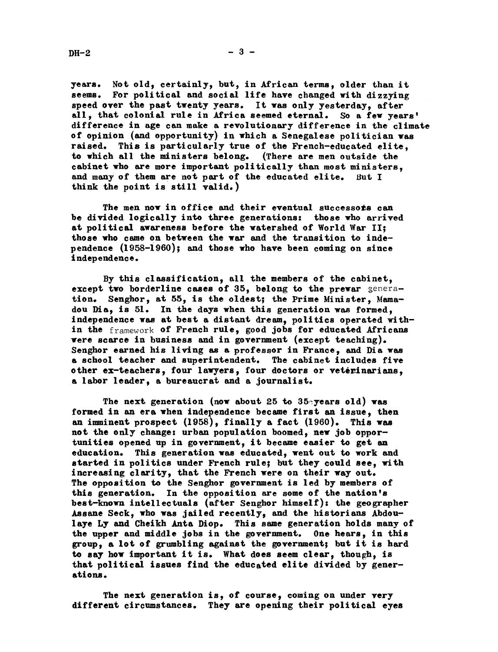$DH-2$ 

years. Not old, certainly, but, in African terms, older than it seems. For political and social life have changed with dizzying speed over the past twenty years. It was only yesterday, after all, that colonial rule in Africa seemed eternal. So a few years' difference in age can make a revolutionary difference in the climate of opinion (and opportunity) in which a Senegalese politician was raised. This is particularly true of the French-educated elite, to which all the ministers belong. (There are men outside the cabinet who are more important politically than most ministers, and many of them are not part of the educated elite. But I think the point is still valid.)

The men now in office and their eventual successors can be divided logically into three generations: those who arrived at political awareness before the watershed of World War II; those who. came on between the war and the transition to independence (1958-1960); and those who have been coming on since independence.

By this classification, all the members of the cabinet, except two borderline cases of  $35$ , belong to the prewar generation. Senghor, at 55, is the oldest; the Prime Minister, Mamadou Dia, is 51. In the days when this generation was formed, independence was at best a distant dream, politics operated within the framework of French rule, good jobs for educated Africans were scarce in business and in government (except teaching). Senghor earned his living as a professor in France, and Dia was a school teacher and superintendent. The cabinet includes five other ex-teachers, four lawyers, four doctors or veterinarians, a labor leader, a bureaucrat and a journalist.

The next generation (now about 25 to 35 years old) was formed in an era when independence became first an issue, then an imminent prospect  $(1958)$ , finally a fact  $(1960)$ . This was not the only change: urban population boomed, new job opportunities opened up in government, it became easier to get an education. This generation was educated, went out to work and started in politics under French rule! but they could see, with increasing clarity, that the French were on their way out. The opposition to the Senghor government is led by members of this generation. In the opposition are some of the nation's best-known intellectuals (after Senghor himself): the geographer Assane Seck, who was jailed recently, and the historians Abdoulaye Ly and Cheikh Anta Diop. This same generation holds many of the upper and middle jobs in the government. One hears, in this group, a lot of grumbling against the government; but it is hard to say how important it is. What does seem clear, though, is that political issues find the educated elite divided by generations.

The next generation is, of course, coming on under very different circumstances. They are opening their political eyes